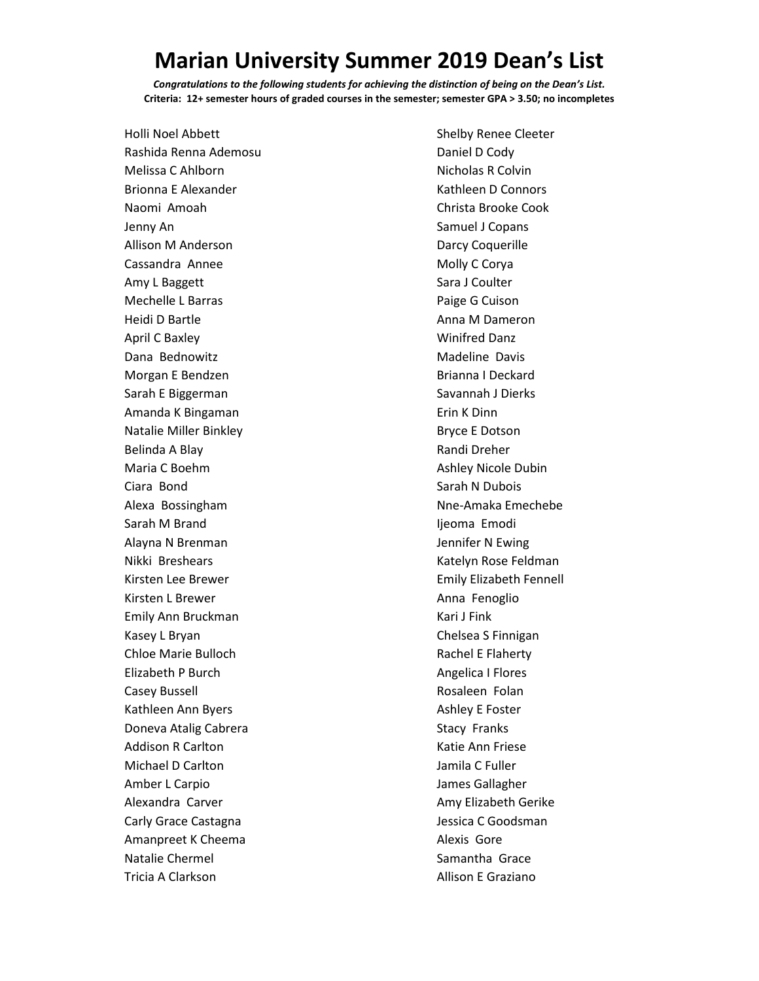## **Marian University Summer 2019 Dean's List**

*Congratulations to the following students for achieving the distinction of being on the Dean's List.* **Criteria: 12+ semester hours of graded courses in the semester; semester GPA > 3.50; no incompletes**

Holli Noel Abbett Rashida Renna Ademosu Melissa C Ahlborn Brionna E Alexander Naomi Amoah Jenny An Allison M Anderson Cassandra Annee Amy L Baggett Mechelle L Barras Heidi D Bartle April C Baxley Dana Bednowitz Morgan E Bendzen Sarah E Biggerman Amanda K Bingaman Natalie Miller Binkley Belinda A Blay Maria C Boehm Ciara Bond Alexa Bossingham Sarah M Brand Alayna N Brenman Nikki Breshears Kirsten Lee Brewer Kirsten L Brewer Emily Ann Bruckman Kasey L Bryan Chloe Marie Bulloch Elizabeth P Burch Casey Bussell Kathleen Ann Byers Doneva Atalig Cabrera Addison R Carlton Michael D Carlton Amber L Carpio Alexandra Carver Carly Grace Castagna Amanpreet K Cheema Natalie Chermel Tricia A Clarkson

Shelby Renee Cleeter Daniel D Cody Nicholas R Colvin Kathleen D Connors Christa Brooke Cook Samuel J Copans Darcy Coquerille Molly C Corya Sara J Coulter Paige G Cuison Anna M Dameron Winifred Danz Madeline Davis Brianna I Deckard Savannah J Dierks Erin K Dinn Bryce E Dotson Randi Dreher Ashley Nicole Dubin Sarah N Dubois Nne-Amaka Emechebe Ijeoma Emodi Jennifer N Ewing Katelyn Rose Feldman Emily Elizabeth Fennell Anna Fenoglio Kari J Fink Chelsea S Finnigan Rachel E Flaherty Angelica I Flores Rosaleen Folan Ashley E Foster Stacy Franks Katie Ann Friese Jamila C Fuller James Gallagher Amy Elizabeth Gerike Jessica C Goodsman Alexis Gore Samantha Grace Allison E Graziano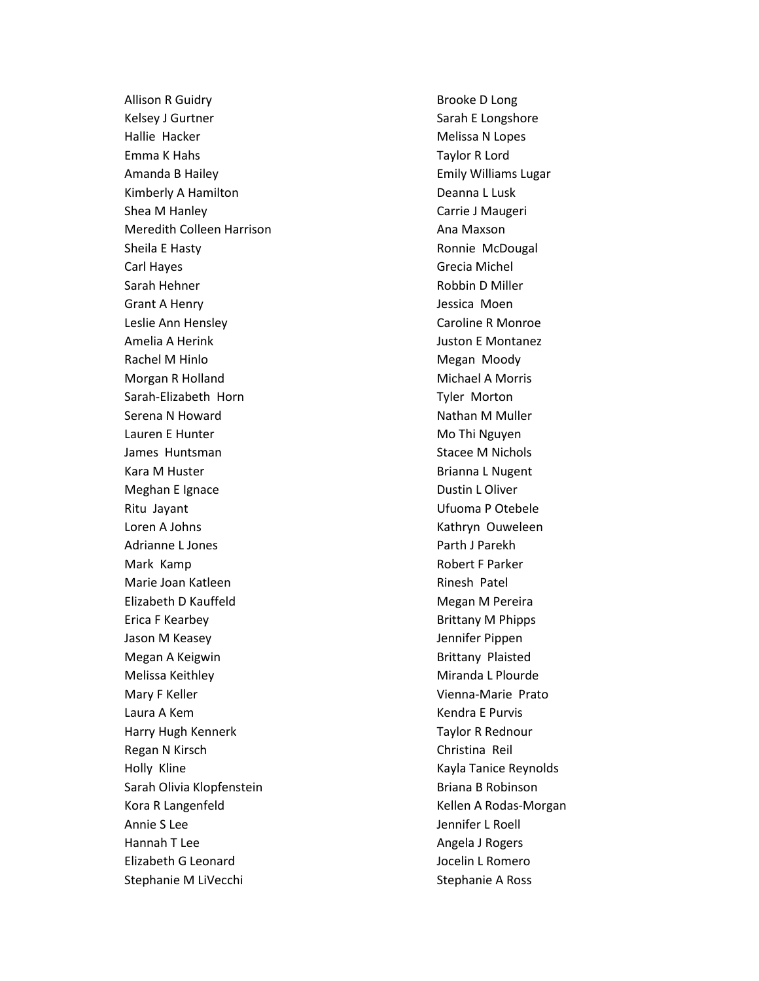Allison R Guidry Kelsey J Gurtner Hallie Hacker Emma K Hahs Amanda B Hailey Kimberly A Hamilton Shea M Hanley Meredith Colleen Harrison Sheila E Hasty Carl Hayes Sarah Hehner Grant A Henry Leslie Ann Hensley Amelia A Herink Rachel M Hinlo Morgan R Holland Sarah-Elizabeth Horn Serena N Howard Lauren E Hunter James Huntsman Kara M Huster Meghan E Ignace Ritu Jayant Loren A Johns Adrianne L Jones Mark Kamp Marie Joan Katleen Elizabeth D Kauffeld Erica F Kearbey Jason M Keasey Megan A Keigwin Melissa Keithley Mary F Keller Laura A Kem Harry Hugh Kennerk Regan N Kirsch Holly Kline Sarah Olivia Klopfenstein Kora R Langenfeld Annie S Lee Hannah T Lee Elizabeth G Leonard Stephanie M LiVecchi

Brooke D Long Sarah E Longshore Melissa N Lopes Taylor R Lord Emily Williams Lugar Deanna L Lusk Carrie J Maugeri Ana Maxson Ronnie McDougal Grecia Michel Robbin D Miller Jessica Moen Caroline R Monroe Juston E Montanez Megan Moody Michael A Morris Tyler Morton Nathan M Muller Mo Thi Nguyen Stacee M Nichols Brianna L Nugent Dustin L Oliver Ufuoma P Otebele Kathryn Ouweleen Parth J Parekh Robert F Parker Rinesh Patel Megan M Pereira Brittany M Phipps Jennifer Pippen Brittany Plaisted Miranda L Plourde Vienna-Marie Prato Kendra E Purvis Taylor R Rednour Christina Reil Kayla Tanice Reynolds Briana B Robinson Kellen A Rodas-Morgan Jennifer L Roell Angela J Rogers Jocelin L Romero Stephanie A Ross